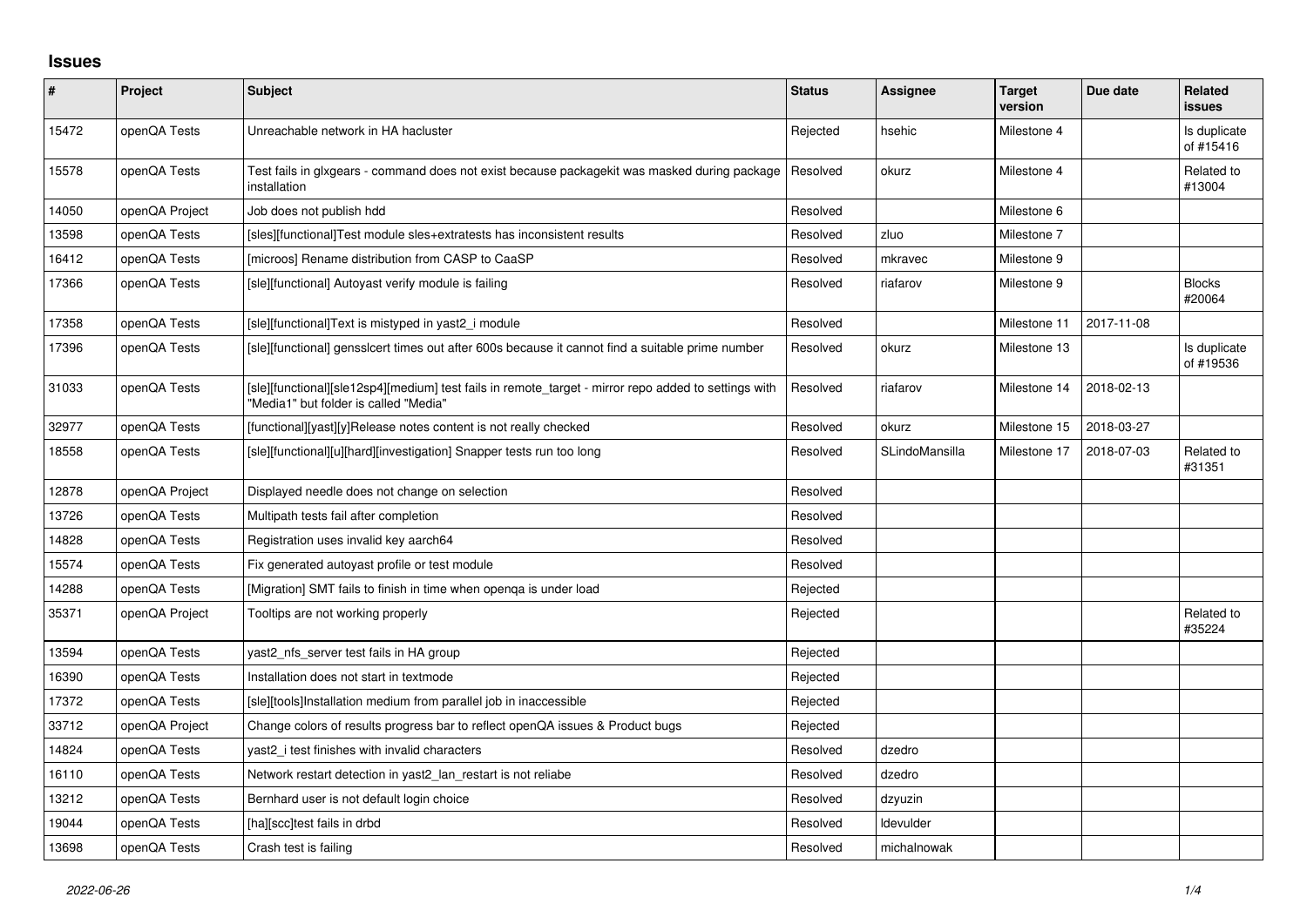## **Issues**

| $\pmb{\#}$ | Project        | <b>Subject</b>                                                                                                                                | <b>Status</b> | Assignee       | <b>Target</b><br>version | Due date   | Related<br><b>issues</b>  |
|------------|----------------|-----------------------------------------------------------------------------------------------------------------------------------------------|---------------|----------------|--------------------------|------------|---------------------------|
| 15472      | openQA Tests   | Unreachable network in HA hacluster                                                                                                           | Rejected      | hsehic         | Milestone 4              |            | Is duplicate<br>of #15416 |
| 15578      | openQA Tests   | Test fails in glxgears - command does not exist because packagekit was masked during package<br>installation                                  | Resolved      | okurz          | Milestone 4              |            | Related to<br>#13004      |
| 14050      | openQA Project | Job does not publish hdd                                                                                                                      | Resolved      |                | Milestone 6              |            |                           |
| 13598      | openQA Tests   | [sles][functional]Test module sles+extratests has inconsistent results                                                                        | Resolved      | zluo           | Milestone 7              |            |                           |
| 16412      | openQA Tests   | [microos] Rename distribution from CASP to CaaSP                                                                                              | Resolved      | mkravec        | Milestone 9              |            |                           |
| 17366      | openQA Tests   | [sle][functional] Autoyast verify module is failing                                                                                           | Resolved      | riafarov       | Milestone 9              |            | <b>Blocks</b><br>#20064   |
| 17358      | openQA Tests   | [sle][functional]Text is mistyped in yast2 i module                                                                                           | Resolved      |                | Milestone 11             | 2017-11-08 |                           |
| 17396      | openQA Tests   | [sle][functional] gensslcert times out after 600s because it cannot find a suitable prime number                                              | Resolved      | okurz          | Milestone 13             |            | Is duplicate<br>of #19536 |
| 31033      | openQA Tests   | [sle][functional][sle12sp4][medium] test fails in remote_target - mirror repo added to settings with<br>"Media1" but folder is called "Media" | Resolved      | riafarov       | Milestone 14             | 2018-02-13 |                           |
| 32977      | openQA Tests   | [functional][yast][y]Release notes content is not really checked                                                                              | Resolved      | okurz          | Milestone 15             | 2018-03-27 |                           |
| 18558      | openQA Tests   | [sle][functional][u][hard][investigation] Snapper tests run too long                                                                          | Resolved      | SLindoMansilla | Milestone 17             | 2018-07-03 | Related to<br>#31351      |
| 12878      | openQA Project | Displayed needle does not change on selection                                                                                                 | Resolved      |                |                          |            |                           |
| 13726      | openQA Tests   | Multipath tests fail after completion                                                                                                         | Resolved      |                |                          |            |                           |
| 14828      | openQA Tests   | Registration uses invalid key aarch64                                                                                                         | Resolved      |                |                          |            |                           |
| 15574      | openQA Tests   | Fix generated autoyast profile or test module                                                                                                 | Resolved      |                |                          |            |                           |
| 14288      | openQA Tests   | [Migration] SMT fails to finish in time when openga is under load                                                                             | Rejected      |                |                          |            |                           |
| 35371      | openQA Project | Tooltips are not working properly                                                                                                             | Rejected      |                |                          |            | Related to<br>#35224      |
| 13594      | openQA Tests   | yast2_nfs_server test fails in HA group                                                                                                       | Rejected      |                |                          |            |                           |
| 16390      | openQA Tests   | Installation does not start in textmode                                                                                                       | Rejected      |                |                          |            |                           |
| 17372      | openQA Tests   | [sle][tools]Installation medium from parallel job in inaccessible                                                                             | Rejected      |                |                          |            |                           |
| 33712      | openQA Project | Change colors of results progress bar to reflect openQA issues & Product bugs                                                                 | Rejected      |                |                          |            |                           |
| 14824      | openQA Tests   | yast2 i test finishes with invalid characters                                                                                                 | Resolved      | dzedro         |                          |            |                           |
| 16110      | openQA Tests   | Network restart detection in yast2 lan restart is not reliabe                                                                                 | Resolved      | dzedro         |                          |            |                           |
| 13212      | openQA Tests   | Bernhard user is not default login choice                                                                                                     | Resolved      | dzyuzin        |                          |            |                           |
| 19044      | openQA Tests   | [ha][scc]test fails in drbd                                                                                                                   | Resolved      | Idevulder      |                          |            |                           |
| 13698      | openQA Tests   | Crash test is failing                                                                                                                         | Resolved      | michalnowak    |                          |            |                           |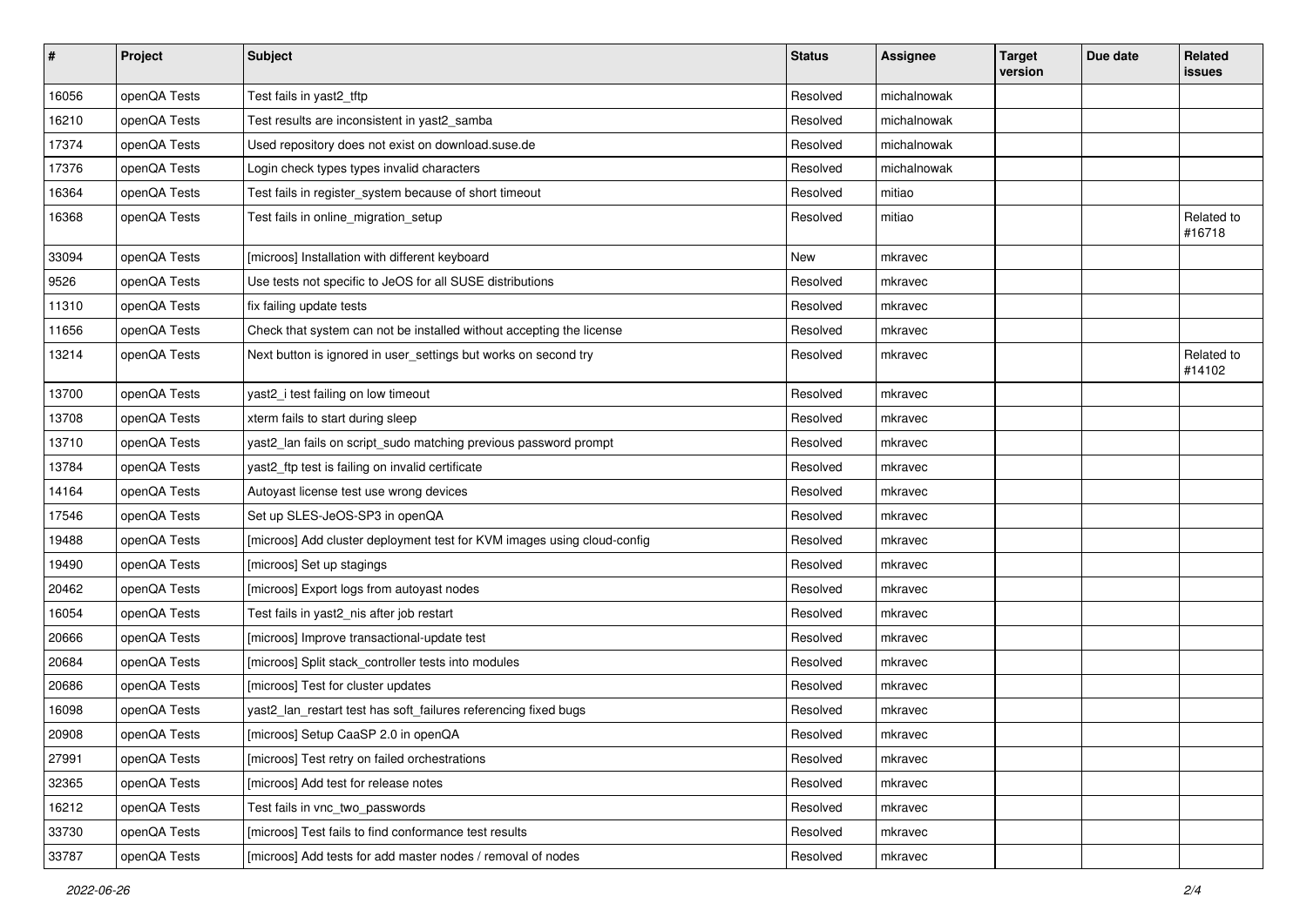| $\sharp$ | Project      | <b>Subject</b>                                                          | <b>Status</b> | <b>Assignee</b> | <b>Target</b><br>version | Due date | Related<br>issues    |
|----------|--------------|-------------------------------------------------------------------------|---------------|-----------------|--------------------------|----------|----------------------|
| 16056    | openQA Tests | Test fails in yast2_tftp                                                | Resolved      | michalnowak     |                          |          |                      |
| 16210    | openQA Tests | Test results are inconsistent in yast2 samba                            | Resolved      | michalnowak     |                          |          |                      |
| 17374    | openQA Tests | Used repository does not exist on download.suse.de                      | Resolved      | michalnowak     |                          |          |                      |
| 17376    | openQA Tests | Login check types types invalid characters                              | Resolved      | michalnowak     |                          |          |                      |
| 16364    | openQA Tests | Test fails in register_system because of short timeout                  | Resolved      | mitiao          |                          |          |                      |
| 16368    | openQA Tests | Test fails in online_migration_setup                                    | Resolved      | mitiao          |                          |          | Related to<br>#16718 |
| 33094    | openQA Tests | [microos] Installation with different keyboard                          | New           | mkravec         |                          |          |                      |
| 9526     | openQA Tests | Use tests not specific to JeOS for all SUSE distributions               | Resolved      | mkravec         |                          |          |                      |
| 11310    | openQA Tests | fix failing update tests                                                | Resolved      | mkravec         |                          |          |                      |
| 11656    | openQA Tests | Check that system can not be installed without accepting the license    | Resolved      | mkravec         |                          |          |                      |
| 13214    | openQA Tests | Next button is ignored in user_settings but works on second try         | Resolved      | mkravec         |                          |          | Related to<br>#14102 |
| 13700    | openQA Tests | yast2_i test failing on low timeout                                     | Resolved      | mkravec         |                          |          |                      |
| 13708    | openQA Tests | xterm fails to start during sleep                                       | Resolved      | mkravec         |                          |          |                      |
| 13710    | openQA Tests | yast2_lan fails on script_sudo matching previous password prompt        | Resolved      | mkravec         |                          |          |                      |
| 13784    | openQA Tests | yast2_ftp test is failing on invalid certificate                        | Resolved      | mkravec         |                          |          |                      |
| 14164    | openQA Tests | Autoyast license test use wrong devices                                 | Resolved      | mkravec         |                          |          |                      |
| 17546    | openQA Tests | Set up SLES-JeOS-SP3 in openQA                                          | Resolved      | mkravec         |                          |          |                      |
| 19488    | openQA Tests | [microos] Add cluster deployment test for KVM images using cloud-config | Resolved      | mkravec         |                          |          |                      |
| 19490    | openQA Tests | [microos] Set up stagings                                               | Resolved      | mkravec         |                          |          |                      |
| 20462    | openQA Tests | [microos] Export logs from autoyast nodes                               | Resolved      | mkravec         |                          |          |                      |
| 16054    | openQA Tests | Test fails in yast2_nis after job restart                               | Resolved      | mkravec         |                          |          |                      |
| 20666    | openQA Tests | [microos] Improve transactional-update test                             | Resolved      | mkravec         |                          |          |                      |
| 20684    | openQA Tests | [microos] Split stack_controller tests into modules                     | Resolved      | mkravec         |                          |          |                      |
| 20686    | openQA Tests | [microos] Test for cluster updates                                      | Resolved      | mkravec         |                          |          |                      |
| 16098    | openQA Tests | yast2_lan_restart test has soft_failures referencing fixed bugs         | Resolved      | mkravec         |                          |          |                      |
| 20908    | openQA Tests | [microos] Setup CaaSP 2.0 in openQA                                     | Resolved      | mkravec         |                          |          |                      |
| 27991    | openQA Tests | [microos] Test retry on failed orchestrations                           | Resolved      | mkravec         |                          |          |                      |
| 32365    | openQA Tests | [microos] Add test for release notes                                    | Resolved      | mkravec         |                          |          |                      |
| 16212    | openQA Tests | Test fails in vnc_two_passwords                                         | Resolved      | mkravec         |                          |          |                      |
| 33730    | openQA Tests | [microos] Test fails to find conformance test results                   | Resolved      | mkravec         |                          |          |                      |
| 33787    | openQA Tests | [microos] Add tests for add master nodes / removal of nodes             | Resolved      | mkravec         |                          |          |                      |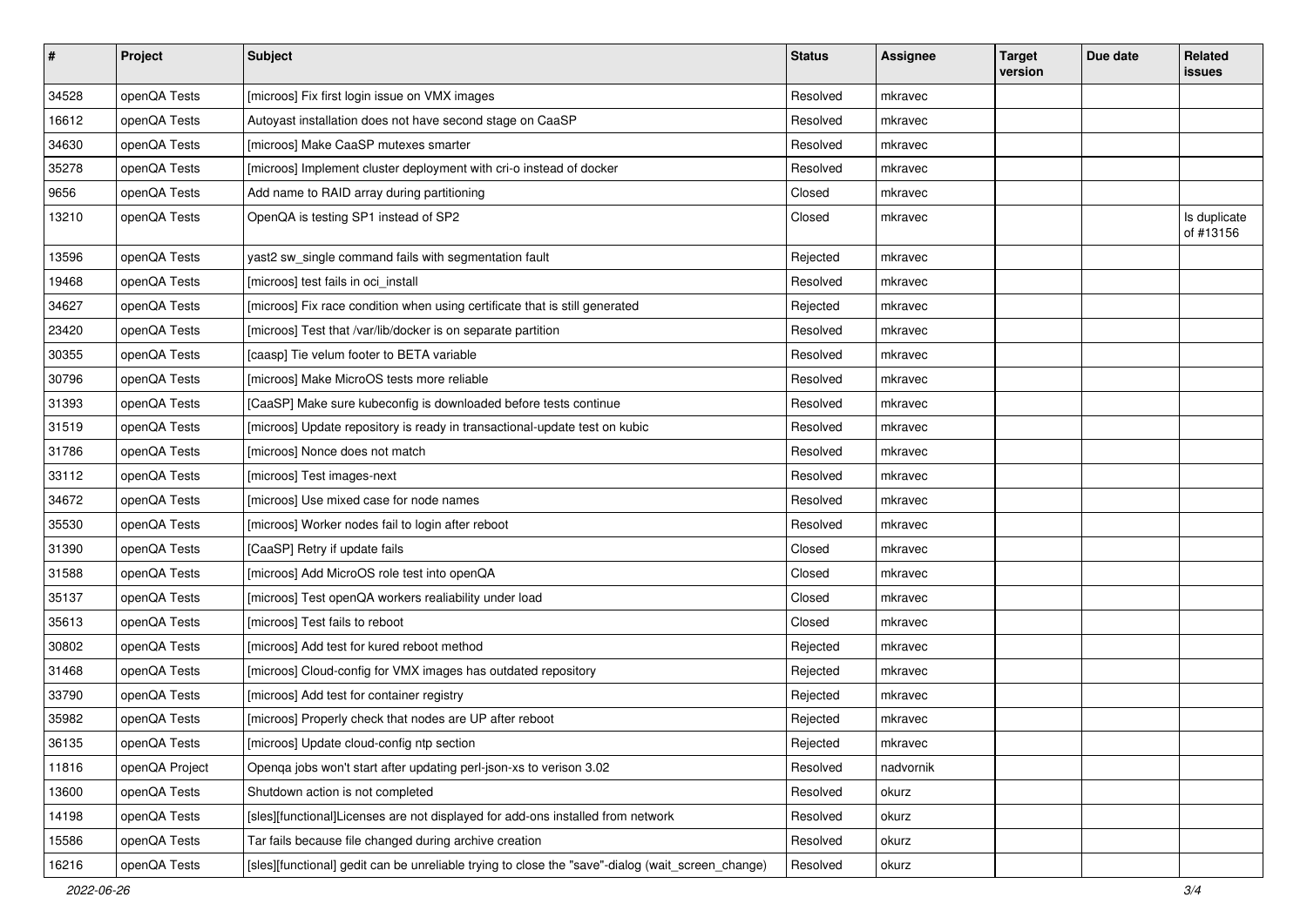| $\vert$ # | Project        | <b>Subject</b>                                                                                    | <b>Status</b> | <b>Assignee</b> | <b>Target</b><br>version | Due date | Related<br>issues         |
|-----------|----------------|---------------------------------------------------------------------------------------------------|---------------|-----------------|--------------------------|----------|---------------------------|
| 34528     | openQA Tests   | [microos] Fix first login issue on VMX images                                                     | Resolved      | mkravec         |                          |          |                           |
| 16612     | openQA Tests   | Autoyast installation does not have second stage on CaaSP                                         | Resolved      | mkravec         |                          |          |                           |
| 34630     | openQA Tests   | [microos] Make CaaSP mutexes smarter                                                              | Resolved      | mkravec         |                          |          |                           |
| 35278     | openQA Tests   | [microos] Implement cluster deployment with cri-o instead of docker                               | Resolved      | mkravec         |                          |          |                           |
| 9656      | openQA Tests   | Add name to RAID array during partitioning                                                        | Closed        | mkravec         |                          |          |                           |
| 13210     | openQA Tests   | OpenQA is testing SP1 instead of SP2                                                              | Closed        | mkravec         |                          |          | Is duplicate<br>of #13156 |
| 13596     | openQA Tests   | yast2 sw_single command fails with segmentation fault                                             | Rejected      | mkravec         |                          |          |                           |
| 19468     | openQA Tests   | [microos] test fails in oci_install                                                               | Resolved      | mkravec         |                          |          |                           |
| 34627     | openQA Tests   | [microos] Fix race condition when using certificate that is still generated                       | Rejected      | mkravec         |                          |          |                           |
| 23420     | openQA Tests   | [microos] Test that /var/lib/docker is on separate partition                                      | Resolved      | mkravec         |                          |          |                           |
| 30355     | openQA Tests   | [caasp] Tie velum footer to BETA variable                                                         | Resolved      | mkravec         |                          |          |                           |
| 30796     | openQA Tests   | [microos] Make MicroOS tests more reliable                                                        | Resolved      | mkravec         |                          |          |                           |
| 31393     | openQA Tests   | [CaaSP] Make sure kubeconfig is downloaded before tests continue                                  | Resolved      | mkravec         |                          |          |                           |
| 31519     | openQA Tests   | [microos] Update repository is ready in transactional-update test on kubic                        | Resolved      | mkravec         |                          |          |                           |
| 31786     | openQA Tests   | [microos] Nonce does not match                                                                    | Resolved      | mkravec         |                          |          |                           |
| 33112     | openQA Tests   | [microos] Test images-next                                                                        | Resolved      | mkravec         |                          |          |                           |
| 34672     | openQA Tests   | [microos] Use mixed case for node names                                                           | Resolved      | mkravec         |                          |          |                           |
| 35530     | openQA Tests   | [microos] Worker nodes fail to login after reboot                                                 | Resolved      | mkravec         |                          |          |                           |
| 31390     | openQA Tests   | [CaaSP] Retry if update fails                                                                     | Closed        | mkravec         |                          |          |                           |
| 31588     | openQA Tests   | [microos] Add MicroOS role test into openQA                                                       | Closed        | mkravec         |                          |          |                           |
| 35137     | openQA Tests   | [microos] Test openQA workers realiability under load                                             | Closed        | mkravec         |                          |          |                           |
| 35613     | openQA Tests   | [microos] Test fails to reboot                                                                    | Closed        | mkravec         |                          |          |                           |
| 30802     | openQA Tests   | [microos] Add test for kured reboot method                                                        | Rejected      | mkravec         |                          |          |                           |
| 31468     | openQA Tests   | [microos] Cloud-config for VMX images has outdated repository                                     | Rejected      | mkravec         |                          |          |                           |
| 33790     | openQA Tests   | [microos] Add test for container registry                                                         | Rejected      | mkravec         |                          |          |                           |
| 35982     | openQA Tests   | [microos] Properly check that nodes are UP after reboot                                           | Rejected      | mkravec         |                          |          |                           |
| 36135     | openQA Tests   | [microos] Update cloud-config ntp section                                                         | Rejected      | mkravec         |                          |          |                           |
| 11816     | openQA Project | Openqa jobs won't start after updating perl-json-xs to verison 3.02                               | Resolved      | nadvornik       |                          |          |                           |
| 13600     | openQA Tests   | Shutdown action is not completed                                                                  | Resolved      | okurz           |                          |          |                           |
| 14198     | openQA Tests   | [sles][functional]Licenses are not displayed for add-ons installed from network                   | Resolved      | okurz           |                          |          |                           |
| 15586     | openQA Tests   | Tar fails because file changed during archive creation                                            | Resolved      | okurz           |                          |          |                           |
| 16216     | openQA Tests   | [sles][functional] gedit can be unreliable trying to close the "save"-dialog (wait_screen_change) | Resolved      | okurz           |                          |          |                           |